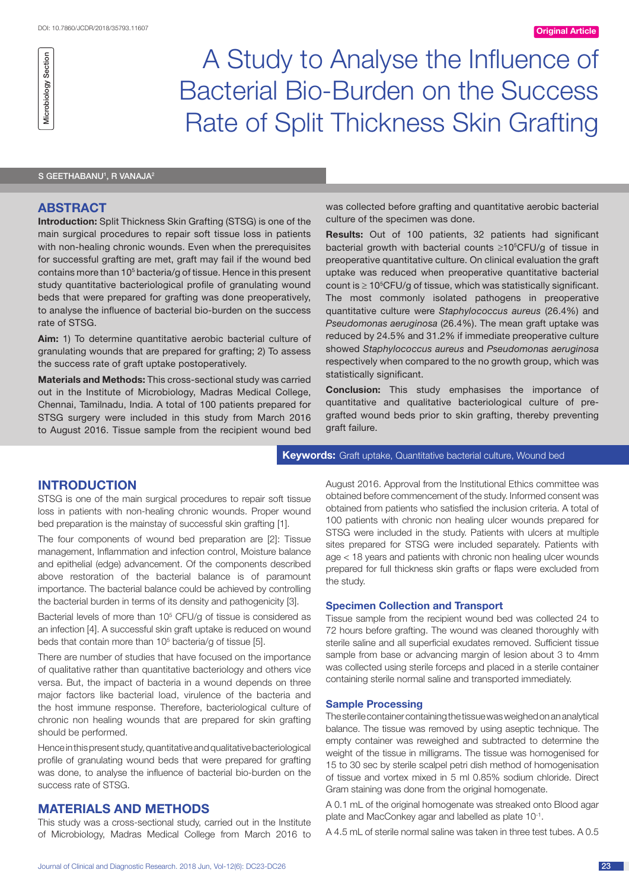# A Study to Analyse the Influence of Bacterial Bio-Burden on the Success Rate of Split Thickness Skin Grafting

#### S GEETHABANU<sup>1</sup>, R VANAJA<sup>2</sup>

# **ABSTRACT**

Microbiology Section

Microbiology Section

**Introduction:** Split Thickness Skin Grafting (STSG) is one of the main surgical procedures to repair soft tissue loss in patients with non-healing chronic wounds. Even when the prerequisites for successful grafting are met, graft may fail if the wound bed contains more than 10<sup>5</sup> bacteria/g of tissue. Hence in this present study quantitative bacteriological profile of granulating wound beds that were prepared for grafting was done preoperatively, to analyse the influence of bacterial bio-burden on the success rate of STSG.

**Aim:** 1) To determine quantitative aerobic bacterial culture of granulating wounds that are prepared for grafting; 2) To assess the success rate of graft uptake postoperatively.

**Materials and Methods:** This cross-sectional study was carried out in the Institute of Microbiology, Madras Medical College, Chennai, Tamilnadu, India. A total of 100 patients prepared for STSG surgery were included in this study from March 2016 to August 2016. Tissue sample from the recipient wound bed was collected before grafting and quantitative aerobic bacterial culture of the specimen was done.

**Results:** Out of 100 patients, 32 patients had significant bacterial growth with bacterial counts  $\geq 10^{5}$ CFU/g of tissue in preoperative quantitative culture. On clinical evaluation the graft uptake was reduced when preoperative quantitative bacterial count is  $\geq 10^5$ CFU/g of tissue, which was statistically significant. The most commonly isolated pathogens in preoperative quantitative culture were *Staphylococcus aureus* (26.4%) and *Pseudomonas aeruginosa* (26.4%). The mean graft uptake was reduced by 24.5% and 31.2% if immediate preoperative culture showed *Staphylococcus aureus* and *Pseudomonas aeruginosa* respectively when compared to the no growth group, which was statistically significant.

**Conclusion:** This study emphasises the importance of quantitative and qualitative bacteriological culture of pregrafted wound beds prior to skin grafting, thereby preventing graft failure.

# **Keywords:** Graft uptake, Quantitative bacterial culture, Wound bed

# **Introduction**

STSG is one of the main surgical procedures to repair soft tissue loss in patients with non-healing chronic wounds. Proper wound bed preparation is the mainstay of successful skin grafting [1].

The four components of wound bed preparation are [2]: Tissue management, Inflammation and infection control, Moisture balance and epithelial (edge) advancement. Of the components described above restoration of the bacterial balance is of paramount importance. The bacterial balance could be achieved by controlling the bacterial burden in terms of its density and pathogenicity [3].

Bacterial levels of more than  $10<sup>5</sup>$  CFU/g of tissue is considered as an infection [4]. A successful skin graft uptake is reduced on wound beds that contain more than 10<sup>5</sup> bacteria/g of tissue [5].

There are number of studies that have focused on the importance of qualitative rather than quantitative bacteriology and others vice versa. But, the impact of bacteria in a wound depends on three major factors like bacterial load, virulence of the bacteria and the host immune response. Therefore, bacteriological culture of chronic non healing wounds that are prepared for skin grafting should be performed.

Hence in this present study, quantitative and qualitative bacteriological profile of granulating wound beds that were prepared for grafting was done, to analyse the influence of bacterial bio-burden on the success rate of STSG.

# **Materials and Methods**

This study was a cross-sectional study, carried out in the Institute of Microbiology, Madras Medical College from March 2016 to August 2016. Approval from the Institutional Ethics committee was obtained before commencement of the study. Informed consent was obtained from patients who satisfied the inclusion criteria. A total of 100 patients with chronic non healing ulcer wounds prepared for STSG were included in the study. Patients with ulcers at multiple sites prepared for STSG were included separately. Patients with age < 18 years and patients with chronic non healing ulcer wounds prepared for full thickness skin grafts or flaps were excluded from the study.

## **Specimen Collection and Transport**

Tissue sample from the recipient wound bed was collected 24 to 72 hours before grafting. The wound was cleaned thoroughly with sterile saline and all superficial exudates removed. Sufficient tissue sample from base or advancing margin of lesion about 3 to 4mm was collected using sterile forceps and placed in a sterile container containing sterile normal saline and transported immediately.

## **Sample Processing**

The sterile container containing the tissue was weighed on an analytical balance. The tissue was removed by using aseptic technique. The empty container was reweighed and subtracted to determine the weight of the tissue in milligrams. The tissue was homogenised for 15 to 30 sec by sterile scalpel petri dish method of homogenisation of tissue and vortex mixed in 5 ml 0.85% sodium chloride. Direct Gram staining was done from the original homogenate.

A 0.1 mL of the original homogenate was streaked onto Blood agar plate and MacConkey agar and labelled as plate 10-1.

A 4.5 mL of sterile normal saline was taken in three test tubes. A 0.5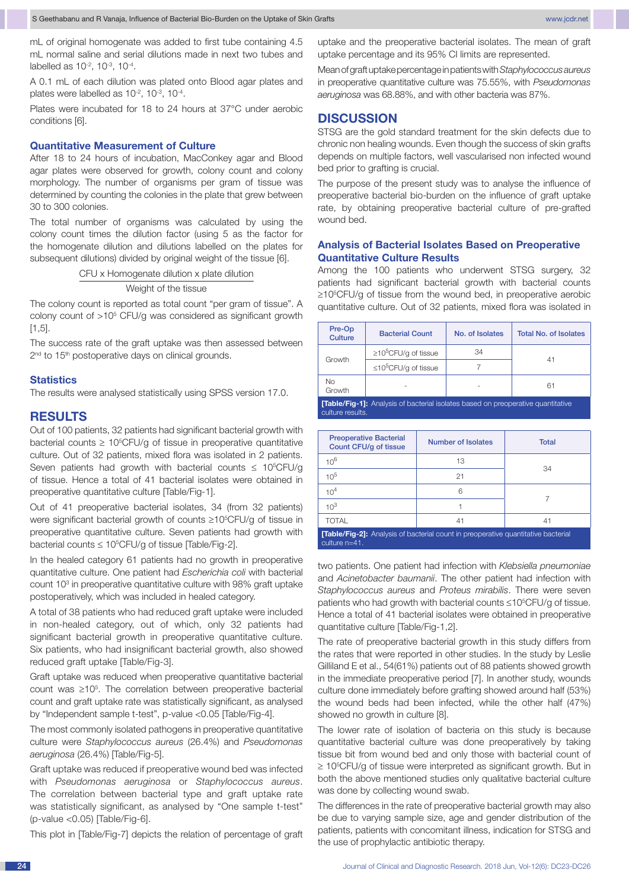mL of original homogenate was added to first tube containing 4.5 mL normal saline and serial dilutions made in next two tubes and labelled as  $10^{-2}$ ,  $10^{-3}$ ,  $10^{-4}$ .

A 0.1 mL of each dilution was plated onto Blood agar plates and plates were labelled as  $10^{-2}$ ,  $10^{-3}$ ,  $10^{-4}$ .

Plates were incubated for 18 to 24 hours at 37°C under aerobic conditions [6].

#### **Quantitative Measurement of Culture**

After 18 to 24 hours of incubation, MacConkey agar and Blood agar plates were observed for growth, colony count and colony morphology. The number of organisms per gram of tissue was determined by counting the colonies in the plate that grew between 30 to 300 colonies.

The total number of organisms was calculated by using the colony count times the dilution factor (using 5 as the factor for the homogenate dilution and dilutions labelled on the plates for subsequent dilutions) divided by original weight of the tissue [6].

CFU x Homogenate dilution x plate dilution

Weight of the tissue

The colony count is reported as total count "per gram of tissue". A colony count of >10<sup>5</sup> CFU/g was considered as significant growth [1,5].

The success rate of the graft uptake was then assessed between 2<sup>nd</sup> to 15<sup>th</sup> postoperative days on clinical grounds.

#### **Statistics**

The results were analysed statistically using SPSS version 17.0.

## **Results**

Out of 100 patients, 32 patients had significant bacterial growth with bacterial counts  $\geq 10^5$ CFU/g of tissue in preoperative quantitative culture. Out of 32 patients, mixed flora was isolated in 2 patients. Seven patients had growth with bacterial counts  $\leq 10^5$ CFU/g of tissue. Hence a total of 41 bacterial isolates were obtained in preoperative quantitative culture [Table/Fig-1].

Out of 41 preoperative bacterial isolates, 34 (from 32 patients) were significant bacterial growth of counts ≥10<sup>5</sup>CFU/g of tissue in preoperative quantitative culture. Seven patients had growth with bacterial counts  $\leq 10^5$ CFU/g of tissue [Table/Fig-2].

In the healed category 61 patients had no growth in preoperative quantitative culture. One patient had *Escherichia coli* with bacterial count 10<sup>3</sup> in preoperative quantitative culture with 98% graft uptake postoperatively, which was included in healed category.

A total of 38 patients who had reduced graft uptake were included in non-healed category, out of which, only 32 patients had significant bacterial growth in preoperative quantitative culture. Six patients, who had insignificant bacterial growth, also showed reduced graft uptake [Table/Fig-3].

Graft uptake was reduced when preoperative quantitative bacterial count was ≥10<sup>5</sup>. The correlation between preoperative bacterial count and graft uptake rate was statistically significant, as analysed by "Independent sample t-test", p-value <0.05 [Table/Fig-4].

The most commonly isolated pathogens in preoperative quantitative culture were *Staphylococcus aureus* (26.4%) and *Pseudomonas aeruginosa* (26.4%) [Table/Fig-5].

Graft uptake was reduced if preoperative wound bed was infected with *Pseudomonas aeruginosa* or *Staphylococcus aureus*. The correlation between bacterial type and graft uptake rate was statistically significant, as analysed by "One sample t-test" (p-value <0.05) [Table/Fig-6].

This plot in [Table/Fig-7] depicts the relation of percentage of graft

uptake and the preoperative bacterial isolates. The mean of graft uptake percentage and its 95% CI limits are represented.

Mean of graft uptake percentage in patients with *Staphylococcus aureus* in preoperative quantitative culture was 75.55%, with *Pseudomonas aeruginosa* was 68.88%, and with other bacteria was 87%.

#### **Discussion**

STSG are the gold standard treatment for the skin defects due to chronic non healing wounds. Even though the success of skin grafts depends on multiple factors, well vascularised non infected wound bed prior to grafting is crucial.

The purpose of the present study was to analyse the influence of preoperative bacterial bio-burden on the influence of graft uptake rate, by obtaining preoperative bacterial culture of pre-grafted wound bed.

#### **Analysis of Bacterial Isolates Based on Preoperative Quantitative Culture Results**

Among the 100 patients who underwent STSG surgery, 32 patients had significant bacterial growth with bacterial counts ≥10<sup>5</sup>CFU/g of tissue from the wound bed, in preoperative aerobic quantitative culture. Out of 32 patients, mixed flora was isolated in

| Pre-Op<br><b>Culture</b>                                                               | <b>Bacterial Count</b>                 | No. of Isolates | <b>Total No. of Isolates</b> |  |
|----------------------------------------------------------------------------------------|----------------------------------------|-----------------|------------------------------|--|
|                                                                                        | $\geq$ 10 <sup>5</sup> CFU/g of tissue | 34              |                              |  |
| Growth                                                                                 | $\leq 10^{5}$ CFU/g of tissue          |                 | 41                           |  |
| No<br>Growth                                                                           |                                        |                 | 61                           |  |
| <b>ITable/Eig 41:</b> Anglucio of booterial isolates becad on proposarity quantitative |                                        |                 |                              |  |

**[Table/Fig-1]:** Analysis of bacterial isolates based on preoperative quantitative culture results.

| <b>Preoperative Bacterial</b><br>Count CFU/g of tissue                                                    | Number of Isolates | <b>Total</b> |  |
|-----------------------------------------------------------------------------------------------------------|--------------------|--------------|--|
| $10^6$                                                                                                    | 13                 |              |  |
| $10^{5}$                                                                                                  | 21                 | 34           |  |
| 10 <sup>4</sup>                                                                                           | 6                  |              |  |
| $10^{3}$                                                                                                  |                    |              |  |
| <b>TOTAL</b>                                                                                              | 41                 | 41           |  |
| <b>[Table/Fig-2]:</b> Analysis of bacterial count in preoperative quantitative bacterial<br>culture n=41. |                    |              |  |

two patients. One patient had infection with *Klebsiella pneumoniae* and *Acinetobacter baumanii*. The other patient had infection with *Staphylococcus aureus* and *Proteus mirabilis*. There were seven patients who had growth with bacterial counts ≤10<sup>5</sup>CFU/g of tissue. Hence a total of 41 bacterial isolates were obtained in preoperative quantitative culture [Table/Fig-1,2].

The rate of preoperative bacterial growth in this study differs from the rates that were reported in other studies. In the study by Leslie Gilliland E et al., 54(61%) patients out of 88 patients showed growth in the immediate preoperative period [7]. In another study, wounds culture done immediately before grafting showed around half (53%) the wound beds had been infected, while the other half (47%) showed no growth in culture [8].

The lower rate of isolation of bacteria on this study is because quantitative bacterial culture was done preoperatively by taking tissue bit from wound bed and only those with bacterial count of ≥ 10<sup>5</sup>CFU/g of tissue were interpreted as significant growth. But in both the above mentioned studies only qualitative bacterial culture was done by collecting wound swab.

The differences in the rate of preoperative bacterial growth may also be due to varying sample size, age and gender distribution of the patients, patients with concomitant illness, indication for STSG and the use of prophylactic antibiotic therapy.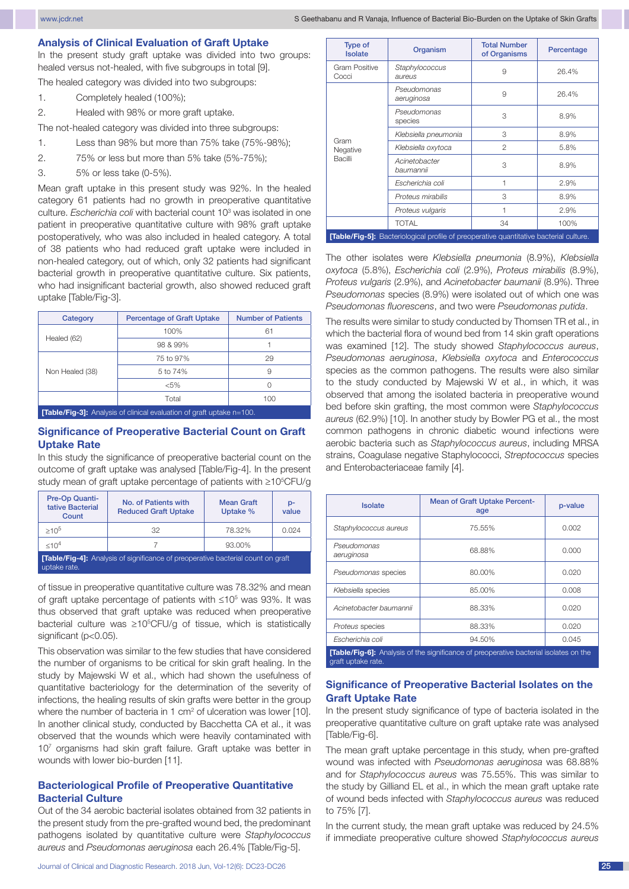#### **Analysis of Clinical Evaluation of Graft Uptake**

In the present study graft uptake was divided into two groups: healed versus not-healed, with five subgroups in total [9].

The healed category was divided into two subgroups:

- 1. Completely healed (100%);
- 2. Healed with 98% or more graft uptake.

The not-healed category was divided into three subgroups:

- 1. Less than 98% but more than 75% take (75%-98%);
- 2. 75% or less but more than 5% take (5%-75%);
- 3. 5% or less take (0-5%).

Mean graft uptake in this present study was 92%. In the healed category 61 patients had no growth in preoperative quantitative culture. *Escherichia coli* with bacterial count 103 was isolated in one patient in preoperative quantitative culture with 98% graft uptake postoperatively, who was also included in healed category. A total of 38 patients who had reduced graft uptake were included in non-healed category, out of which, only 32 patients had significant bacterial growth in preoperative quantitative culture. Six patients, who had insignificant bacterial growth, also showed reduced graft uptake [Table/Fig-3].

| Category                                                                     | <b>Percentage of Graft Uptake</b> | <b>Number of Patients</b> |  |
|------------------------------------------------------------------------------|-----------------------------------|---------------------------|--|
| Healed (62)                                                                  | 100%                              | 61                        |  |
|                                                                              | 98 & 99%                          |                           |  |
|                                                                              | 75 to 97%                         | 29                        |  |
| Non Healed (38)                                                              | 5 to 74%                          | 9                         |  |
|                                                                              | $< 5\%$                           |                           |  |
|                                                                              | Total                             | 100                       |  |
| <b>[Table/Fig-3]:</b> Analysis of clinical evaluation of graft uptake n=100. |                                   |                           |  |

## **Significance of Preoperative Bacterial Count on Graft Uptake Rate**

In this study the significance of preoperative bacterial count on the outcome of graft uptake was analysed [Table/Fig-4]. In the present study mean of graft uptake percentage of patients with  $\geq$ 10<sup>5</sup>CFU/g

| Pre-Op Quanti-<br>tative Bacterial<br>Count                                             | No. of Patients with<br><b>Reduced Graft Uptake</b> | <b>Mean Graft</b><br>Uptake % | p-<br>value |
|-----------------------------------------------------------------------------------------|-----------------------------------------------------|-------------------------------|-------------|
| $>10^{5}$                                                                               | 32                                                  | 78.32%                        | 0.024       |
| <10 <sup>4</sup>                                                                        |                                                     | 93.00%                        |             |
| <b>[Table/Fig-4]:</b> Analysis of significance of preoperative bacterial count on graft |                                                     |                               |             |

uptake rate.

of tissue in preoperative quantitative culture was 78.32% and mean of graft uptake percentage of patients with  $≤10<sup>5</sup>$  was 93%. It was thus observed that graft uptake was reduced when preoperative bacterial culture was  $\geq 10^5$ CFU/g of tissue, which is statistically significant (p<0.05).

This observation was similar to the few studies that have considered the number of organisms to be critical for skin graft healing. In the study by Majewski W et al., which had shown the usefulness of quantitative bacteriology for the determination of the severity of infections, the healing results of skin grafts were better in the group where the number of bacteria in 1  $cm<sup>2</sup>$  of ulceration was lower [10]. In another clinical study, conducted by Bacchetta CA et al., it was observed that the wounds which were heavily contaminated with 107 organisms had skin graft failure. Graft uptake was better in wounds with lower bio-burden [11].

#### **Bacteriological Profile of Preoperative Quantitative Bacterial Culture**

Out of the 34 aerobic bacterial isolates obtained from 32 patients in the present study from the pre-grafted wound bed, the predominant pathogens isolated by quantitative culture were *Staphylococcus aureus* and *Pseudomonas aeruginosa* each 26.4% [Table/Fig-5].

| <b>Type of</b><br><b>Isolate</b>                                                       | Organism                   | <b>Total Number</b><br>of Organisms | Percentage |
|----------------------------------------------------------------------------------------|----------------------------|-------------------------------------|------------|
| <b>Gram Positive</b><br>Cocci                                                          | Staphylococcus<br>aureus   | 9                                   | 26.4%      |
|                                                                                        | Pseudomonas<br>aeruginosa  | 9                                   | 26.4%      |
|                                                                                        | Pseudomonas<br>species     | 3                                   | 8.9%       |
| Gram                                                                                   | Klebsiella pneumonia       | 3                                   | 8.9%       |
| Negative                                                                               | Klebsiella oxytoca         | $\mathcal{P}$                       | 5.8%       |
| Bacilli                                                                                | Acinetobacter<br>baumannii | 3                                   | 8.9%       |
|                                                                                        | Escherichia coli           | 1                                   | 2.9%       |
|                                                                                        | Proteus mirabilis          | 3                                   | 8.9%       |
|                                                                                        | Proteus vulgaris           | 1                                   | 2.9%       |
|                                                                                        | <b>TOTAL</b>               | 34                                  | 100%       |
| [Table/Fig-5]: Bacteriological profile of preoperative quantitative bacterial culture. |                            |                                     |            |

The other isolates were *Klebsiella pneumonia* (8.9%), *Klebsiella oxytoca* (5.8%), *Escherichia coli* (2.9%), *Proteus mirabilis* (8.9%), *Proteus vulgaris* (2.9%), and *Acinetobacter baumanii* (8.9%). Three *Pseudomonas* species (8.9%) were isolated out of which one was *Pseudomonas fluorescens*, and two were *Pseudomonas putida*.

The results were similar to study conducted by Thomsen TR et al., in which the bacterial flora of wound bed from 14 skin graft operations was examined [12]. The study showed *Staphylococcus aureus*, *Pseudomonas aeruginosa*, *Klebsiella oxytoca* and *Enterococcus* species as the common pathogens. The results were also similar to the study conducted by Majewski W et al., in which, it was observed that among the isolated bacteria in preoperative wound bed before skin grafting, the most common were *Staphylococcus aureus* (62.9%) [10]. In another study by Bowler PG et al., the most common pathogens in chronic diabetic wound infections were aerobic bacteria such as *Staphylococcus aureus*, including MRSA strains, Coagulase negative Staphylococci, *Streptococcus* species and Enterobacteriaceae family [4].

| <b>Isolate</b>                                                                                                     | <b>Mean of Graft Uptake Percent-</b><br>age | p-value |
|--------------------------------------------------------------------------------------------------------------------|---------------------------------------------|---------|
| Staphylococcus aureus                                                                                              | 75.55%                                      | 0.002   |
| Pseudomonas<br>aeruginosa                                                                                          | 68.88%                                      | 0.000   |
| Pseudomonas species                                                                                                | 80.00%                                      | 0.020   |
| Klebsiella species                                                                                                 | 85.00%                                      | 0.008   |
| Acinetobacter baumannii                                                                                            | 88.33%                                      | 0.020   |
| Proteus species                                                                                                    | 88.33%                                      | 0.020   |
| Escherichia coli                                                                                                   | 94.50%                                      | 0.045   |
| <b>[Table/Fig-6]:</b> Analysis of the significance of preoperative bacterial isolates on the<br>graft uptake rate. |                                             |         |

## **Significance of Preoperative Bacterial Isolates on the Graft Uptake Rate**

In the present study significance of type of bacteria isolated in the preoperative quantitative culture on graft uptake rate was analysed [Table/Fig-6].

The mean graft uptake percentage in this study, when pre-grafted wound was infected with *Pseudomonas aeruginosa* was 68.88% and for *Staphylococcus aureus* was 75.55%. This was similar to the study by Gilliand EL et al., in which the mean graft uptake rate of wound beds infected with *Staphylococcus aureus* was reduced to 75% [7].

In the current study, the mean graft uptake was reduced by 24.5% if immediate preoperative culture showed *Staphylococcus aureus*